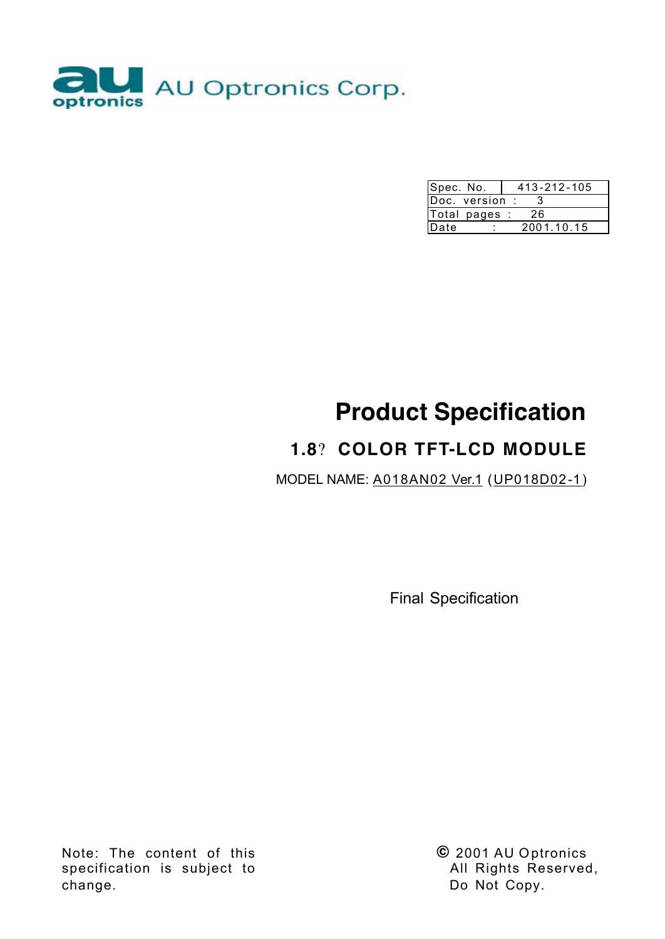

| Spec. No.      | 413-212-105 |
|----------------|-------------|
| Doc. version : |             |
| Total pages :  | 26          |
| Date           | 2001.10.15  |

# **Product Specification**

## **1.8**? **COLOR TFT-LCD MODULE**

MODEL NAME: A018AN02 Ver.1 (UP018D02-1)

Final Specification

Note: The content of this specification is subject to change.

**©** 2001 AU Optronics All Rights Reserved, Do Not Copy.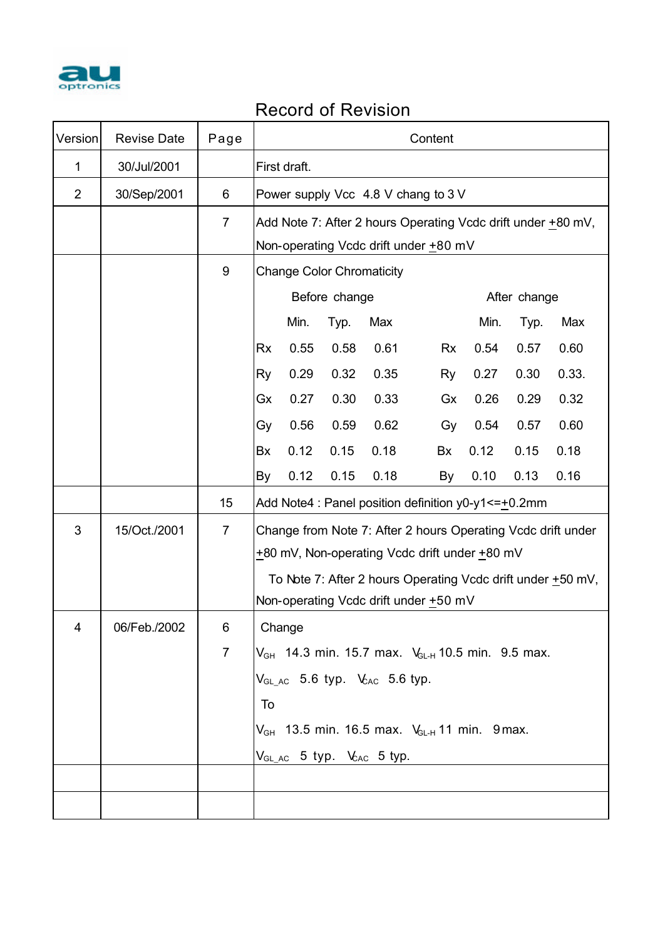

## Record of Revision

| Version        | <b>Revise Date</b> | Page           |           | Content                                                      |               |                                                              |           |      |              |                                                             |
|----------------|--------------------|----------------|-----------|--------------------------------------------------------------|---------------|--------------------------------------------------------------|-----------|------|--------------|-------------------------------------------------------------|
| 1              | 30/Jul/2001        |                |           | First draft.                                                 |               |                                                              |           |      |              |                                                             |
| $\overline{2}$ | 30/Sep/2001        | 6              |           | Power supply Vcc 4.8 V chang to 3 V                          |               |                                                              |           |      |              |                                                             |
|                |                    | $\overline{7}$ |           | Add Note 7: After 2 hours Operating Vcdc drift under +80 mV, |               |                                                              |           |      |              |                                                             |
|                |                    |                |           |                                                              |               | Non-operating Vcdc drift under +80 mV                        |           |      |              |                                                             |
|                |                    | 9              |           | <b>Change Color Chromaticity</b>                             |               |                                                              |           |      |              |                                                             |
|                |                    |                |           |                                                              | Before change |                                                              |           |      | After change |                                                             |
|                |                    |                |           | Min.<br>Typ.<br>Min.<br>Max<br>Typ.                          |               |                                                              |           | Max  |              |                                                             |
|                |                    |                | <b>Rx</b> | 0.55                                                         | 0.58          | 0.61                                                         | <b>Rx</b> | 0.54 | 0.57         | 0.60                                                        |
|                |                    |                | Ry        | 0.29                                                         | 0.32          | 0.35                                                         | <b>Ry</b> | 0.27 | 0.30         | 0.33.                                                       |
|                |                    |                | Gx        | 0.27                                                         | 0.30          | 0.33                                                         | Gx        | 0.26 | 0.29         | 0.32                                                        |
|                |                    |                | Gy        | 0.56                                                         | 0.59          | 0.62                                                         | Gy        | 0.54 | 0.57         | 0.60                                                        |
|                |                    |                | Bx        | 0.12                                                         | 0.15          | 0.18                                                         | Bx        | 0.12 | 0.15         | 0.18                                                        |
|                |                    |                | By        | 0.12                                                         | 0.15          | 0.18                                                         | By        | 0.10 | 0.13         | 0.16                                                        |
|                |                    | 15             |           |                                                              |               | Add Note4 : Panel position definition $y0-y1 \leq t=0.2$ mm  |           |      |              |                                                             |
| 3              | 15/Oct./2001       | $\overline{7}$ |           |                                                              |               | Change from Note 7: After 2 hours Operating Vcdc drift under |           |      |              |                                                             |
|                |                    |                |           |                                                              |               | +80 mV, Non-operating Vcdc drift under +80 mV                |           |      |              |                                                             |
|                |                    |                |           |                                                              |               |                                                              |           |      |              | To Note 7: After 2 hours Operating Vcdc drift under +50 mV, |
|                |                    |                |           |                                                              |               | Non-operating Vcdc drift under +50 mV                        |           |      |              |                                                             |
| 4              | 06/Feb./2002       | 6              |           | Change                                                       |               |                                                              |           |      |              |                                                             |
|                |                    | $\overline{7}$ |           |                                                              |               | $V_{GH}$ 14.3 min. 15.7 max. $V_{GLH}$ 10.5 min. 9.5 max.    |           |      |              |                                                             |
|                |                    |                |           |                                                              |               | $V_{GLAC}$ 5.6 typ. $V_{AC}$ 5.6 typ.                        |           |      |              |                                                             |
|                |                    |                | To        |                                                              |               |                                                              |           |      |              |                                                             |
|                |                    |                |           | $V_{GH}$ 13.5 min. 16.5 max. $V_{GLH}$ 11 min. 9 max.        |               |                                                              |           |      |              |                                                             |
|                |                    |                |           |                                                              |               | $V_{GL_4C}$ 5 typ. $V_{AC}$ 5 typ.                           |           |      |              |                                                             |
|                |                    |                |           |                                                              |               |                                                              |           |      |              |                                                             |
|                |                    |                |           |                                                              |               |                                                              |           |      |              |                                                             |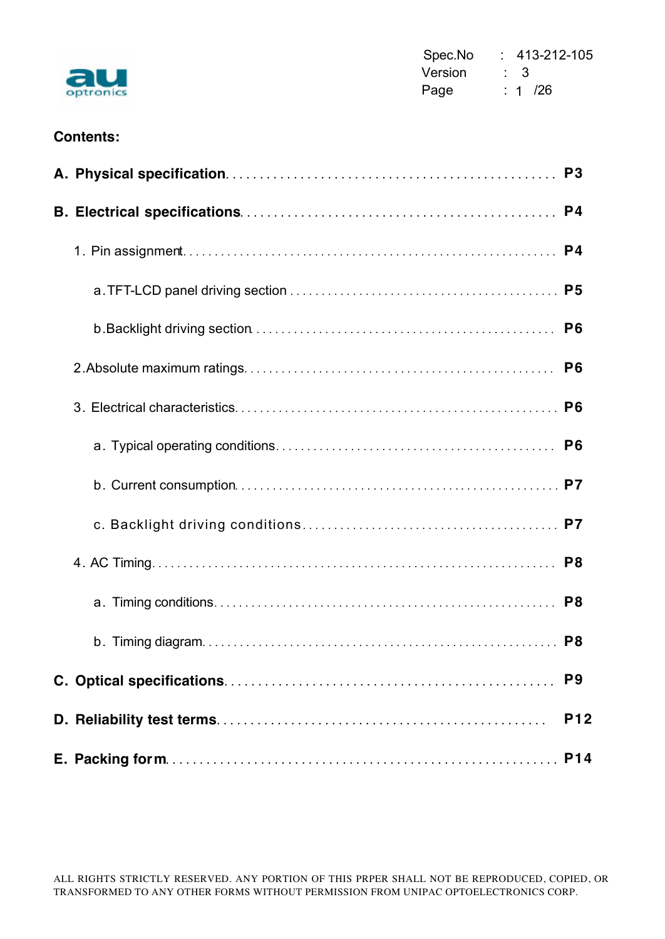

Spec.No : 413-212-105 **Version : 3 Page : 1 /26** 

#### **Contents:**

|  | P <sub>6</sub> |
|--|----------------|
|  | P <sub>6</sub> |
|  |                |
|  |                |
|  |                |
|  |                |
|  |                |
|  |                |
|  | P <sub>8</sub> |
|  | P <sub>9</sub> |
|  | <b>P12</b>     |
|  |                |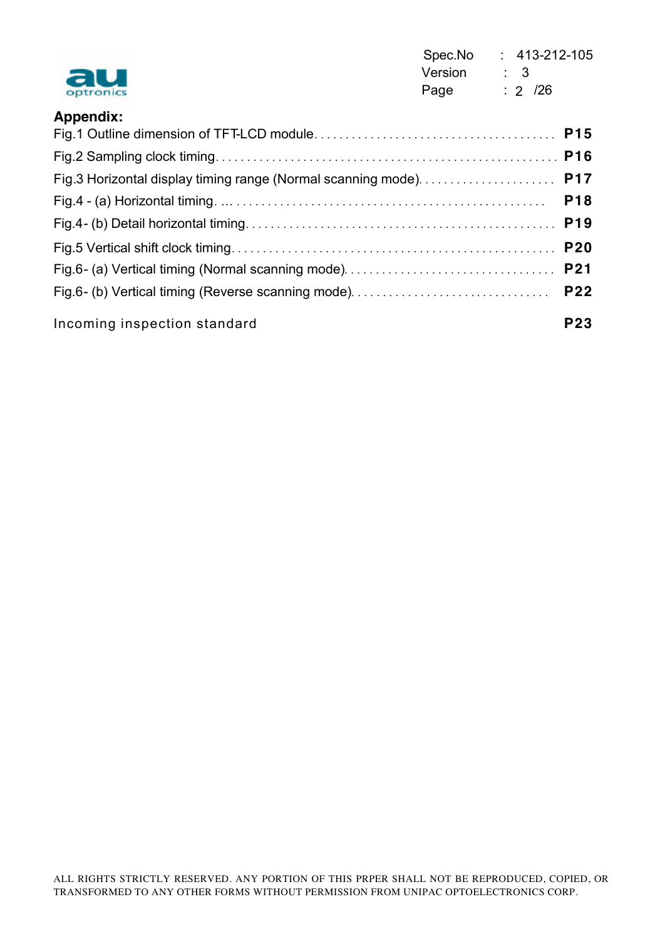| au<br>optronics              | Spec.No<br>Version<br>Page | $\therefore$ 413-212-105<br>$\therefore$ 3<br>$: 2 \ \ 726$ |            |
|------------------------------|----------------------------|-------------------------------------------------------------|------------|
| <b>Appendix:</b>             |                            |                                                             |            |
|                              |                            |                                                             |            |
|                              |                            |                                                             |            |
|                              |                            |                                                             |            |
|                              |                            |                                                             | <b>P18</b> |
|                              |                            |                                                             |            |
|                              |                            |                                                             |            |
|                              |                            |                                                             |            |
|                              |                            |                                                             | <b>P22</b> |
| Incoming inspection standard |                            |                                                             | <b>P23</b> |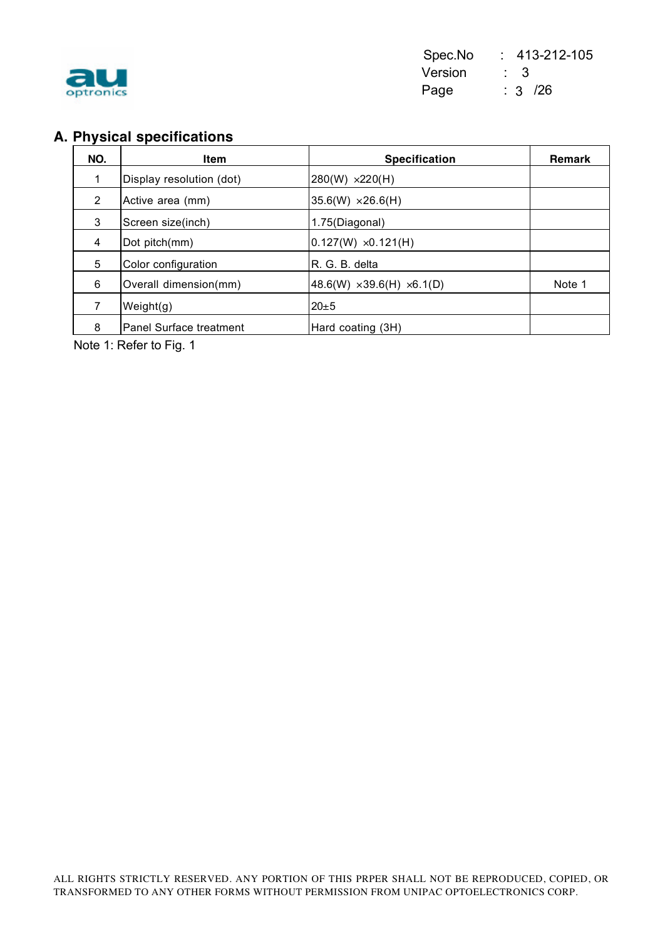

## **A. Physical specifications**

| NO.            | <b>Item</b>              | <b>Specification</b>                     | <b>Remark</b> |
|----------------|--------------------------|------------------------------------------|---------------|
|                | Display resolution (dot) | $280(W) \times 220(H)$                   |               |
| $\overline{2}$ | Active area (mm)         | $35.6(W) \times 26.6(H)$                 |               |
| 3              | Screen size(inch)        | 1.75(Diagonal)                           |               |
| $\overline{4}$ | Dot pitch(mm)            | $0.127(W) \times 0.121(H)$               |               |
| 5              | Color configuration      | R. G. B. delta                           |               |
| 6              | Overall dimension(mm)    | 48.6(W) $\times$ 39.6(H) $\times$ 6.1(D) | Note 1        |
|                | Weight(g)                | $20 \pm 5$                               |               |
| 8              | Panel Surface treatment  | Hard coating (3H)                        |               |

Note 1: Refer to Fig. 1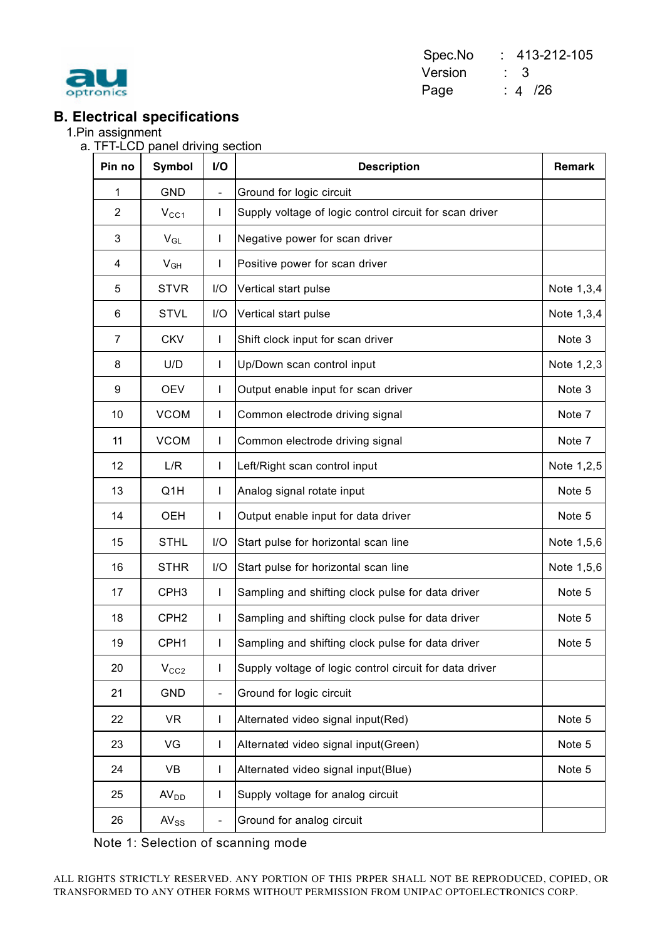

Spec.No : 413-212-105 Version : 3 Page : 4 /26

#### **B. Electrical specifications**

1.Pin assignment

a. TFT-LCD panel driving section

| Pin no         | <b>Symbol</b>    | I/O                      | <b>Description</b>                                      | Remark     |
|----------------|------------------|--------------------------|---------------------------------------------------------|------------|
| 1              | <b>GND</b>       | $\overline{\phantom{0}}$ | Ground for logic circuit                                |            |
| $\overline{2}$ | $V_{CC1}$        | T                        | Supply voltage of logic control circuit for scan driver |            |
| 3              | $V_{GL}$         | T                        | Negative power for scan driver                          |            |
| 4              | $V_{GH}$         | L                        | Positive power for scan driver                          |            |
| 5              | <b>STVR</b>      | I/O                      | Vertical start pulse                                    | Note 1,3,4 |
| 6              | <b>STVL</b>      | I/O                      | Vertical start pulse                                    | Note 1,3,4 |
| $\overline{7}$ | <b>CKV</b>       | T                        | Shift clock input for scan driver                       | Note 3     |
| 8              | U/D              | L                        | Up/Down scan control input                              | Note 1,2,3 |
| 9              | <b>OEV</b>       | T                        | Output enable input for scan driver                     | Note 3     |
| 10             | <b>VCOM</b>      | L                        | Common electrode driving signal                         | Note 7     |
| 11             | <b>VCOM</b>      | T                        | Common electrode driving signal                         | Note 7     |
| 12             | L/R              | T                        | Left/Right scan control input                           | Note 1,2,5 |
| 13             | Q1H              | T                        | Analog signal rotate input                              | Note 5     |
| 14             | <b>OEH</b>       | T                        | Output enable input for data driver                     | Note 5     |
| 15             | <b>STHL</b>      | I/O                      | Start pulse for horizontal scan line                    | Note 1,5,6 |
| 16             | <b>STHR</b>      | I/O                      | Start pulse for horizontal scan line                    | Note 1,5,6 |
| 17             | CPH <sub>3</sub> | T                        | Sampling and shifting clock pulse for data driver       | Note 5     |
| 18             | CPH <sub>2</sub> | T                        | Sampling and shifting clock pulse for data driver       | Note 5     |
| 19             | CPH1             | I                        | Sampling and shifting clock pulse for data driver       | Note 5     |
| 20             | V <sub>CC2</sub> | T                        | Supply voltage of logic control circuit for data driver |            |
| 21             | GND              | $\overline{\phantom{0}}$ | Ground for logic circuit                                |            |
| 22             | <b>VR</b>        | T                        | Alternated video signal input(Red)                      | Note 5     |
| 23             | VG               | L                        | Alternated video signal input(Green)                    | Note 5     |
| 24             | VB               | L                        | Alternated video signal input(Blue)                     | Note 5     |
| 25             | AV <sub>DD</sub> | L                        | Supply voltage for analog circuit                       |            |
| 26             | $AV_{SS}$        | -                        | Ground for analog circuit                               |            |

Note 1: Selection of scanning mode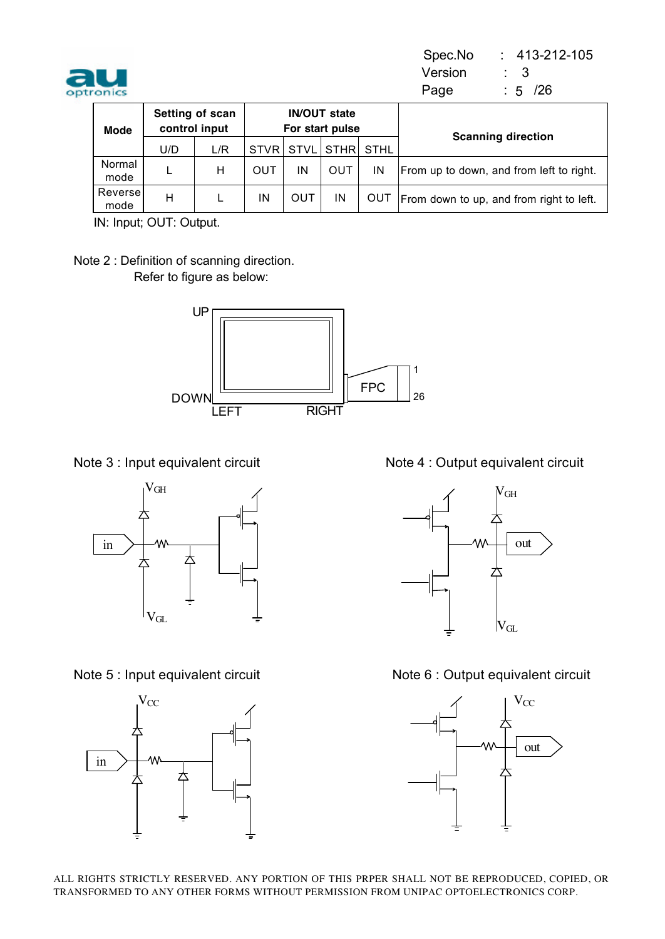

Spec.No : 413-212-105 **Version : 3** optronics 3 Page : 5 /26  $: 5 / 26$ 

| <b>Mode</b>      | Setting of scan<br>control input |     |             |             | <b>IN/OUT state</b><br>For start pulse |             | <b>Scanning direction</b>                |
|------------------|----------------------------------|-----|-------------|-------------|----------------------------------------|-------------|------------------------------------------|
|                  | U/D                              | L/R | <b>STVR</b> | <b>STVL</b> | <b>STHR</b>                            | <b>STHL</b> |                                          |
| Normal<br>mode   |                                  | н   | OUT         | IN          | OUT                                    | IN          | From up to down, and from left to right. |
| Reversel<br>mode | н                                |     | ΙN          | OUT         | IN                                     | OUT         | From down to up, and from right to left. |

IN: Input; OUT: Output.

Note 2 : Definition of scanning direction. Refer to figure as below:







Note 3 : Input equivalent circuit Note 4 : Output equivalent circuit



Note 5 : Input equivalent circuit Note 6 : Output equivalent circuit

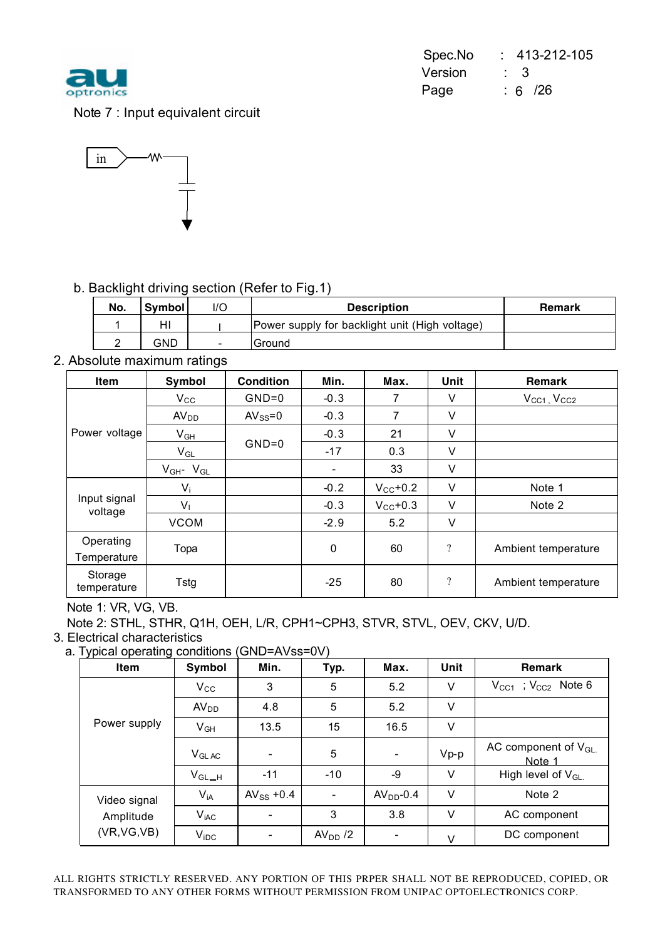

|           |             | Spec.No : 413-212-105 |
|-----------|-------------|-----------------------|
| au        | Version : 3 |                       |
| optronics | Page        | $\therefore$ 6 /26    |

Note 7 : Input equivalent circuit



#### b. Backlight driving section (Refer to Fig.1)

| No. | <b>Symbol</b> | l/C                      | <b>Description</b>                             | <b>Remark</b> |
|-----|---------------|--------------------------|------------------------------------------------|---------------|
|     | HI            |                          | Power supply for backlight unit (High voltage) |               |
|     | GND           | $\overline{\phantom{a}}$ | Ground                                         |               |

2. Absolute maximum ratings

| <b>Item</b>              | Symbol                     | <b>Condition</b> | Min.                     | Max.                 | Unit                     | Remark                |
|--------------------------|----------------------------|------------------|--------------------------|----------------------|--------------------------|-----------------------|
|                          | $V_{\rm CC}$               | $GND=0$          | $-0.3$                   | 7                    | V                        | $V_{CC1}$ , $V_{CC2}$ |
|                          | AV <sub>DD</sub>           | $AV_{SS} = 0$    | $-0.3$                   | $\overline{7}$       | ٧                        |                       |
| Power voltage            | $V_{GH}$                   |                  | $-0.3$                   | 21                   | V                        |                       |
|                          | $\mathsf{V}_{\mathsf{GL}}$ | $GND=0$          | $-17$                    | 0.3                  | ٧                        |                       |
|                          | $V_{GH}$ - $V_{GL}$        |                  | $\overline{\phantom{a}}$ | 33                   | V                        |                       |
|                          | $V_i$                      |                  | $-0.2$                   | $V_{\text{CC}}$ +0.2 | V                        | Note 1                |
| Input signal<br>voltage  | $V_{1}$                    |                  | $-0.3$                   | $V_{CC}$ +0.3        | V                        | Note 2                |
|                          | <b>VCOM</b>                |                  | $-2.9$                   | 5.2                  | V                        |                       |
| Operating<br>Temperature | Topa                       |                  | 0                        | 60                   | $\overline{\mathcal{L}}$ | Ambient temperature   |
| Storage<br>temperature   | <b>Tstg</b>                |                  | $-25$                    | 80                   | ?                        | Ambient temperature   |

Note 1: VR, VG, VB.

Note 2: STHL, STHR, Q1H, OEH, L/R, CPH1~CPH3, STVR, STVL, OEV, CKV, U/D.

3. Electrical characteristics

a. Typical operating conditions (GND=AVss=0V)

| $, \, \mu$ , prodit oporating corrections |                      |                |                          |            |        |                                     |  |  |
|-------------------------------------------|----------------------|----------------|--------------------------|------------|--------|-------------------------------------|--|--|
| Item                                      | Symbol               | Min.           | Typ.                     | Max.       | Unit   | <b>Remark</b>                       |  |  |
|                                           | $V_{\rm CC}$         | 3              | 5                        | 5.2        | V      | $V_{CC1}$ ; $V_{CC2}$ Note 6        |  |  |
|                                           | AV <sub>DD</sub>     | 4.8            | 5                        | 5.2        | V      |                                     |  |  |
| Power supply                              | $V_{GH}$             | 13.5           | 15                       | 16.5       | V      |                                     |  |  |
|                                           | $V_{GLAC}$           |                | 5                        |            | $Vp-p$ | AC component of $V_{GL.}$<br>Note 1 |  |  |
|                                           | $V_{\mathsf{GL\_H}}$ | $-11$          | $-10$                    | -9         | V      | High level of $V_{GL}$              |  |  |
| Video signal                              | $V_{iA}$             | $AV_{SS}$ +0.4 | $\overline{\phantom{a}}$ | $AVDD-0.4$ | V      | Note 2                              |  |  |
| Amplitude                                 | $V_{iAC}$            |                | 3                        | 3.8        | V      | AC component                        |  |  |
| (VR, VG, VB)                              | $V_{IDC}$            |                | $AVDD$ /2                |            | $\vee$ | DC component                        |  |  |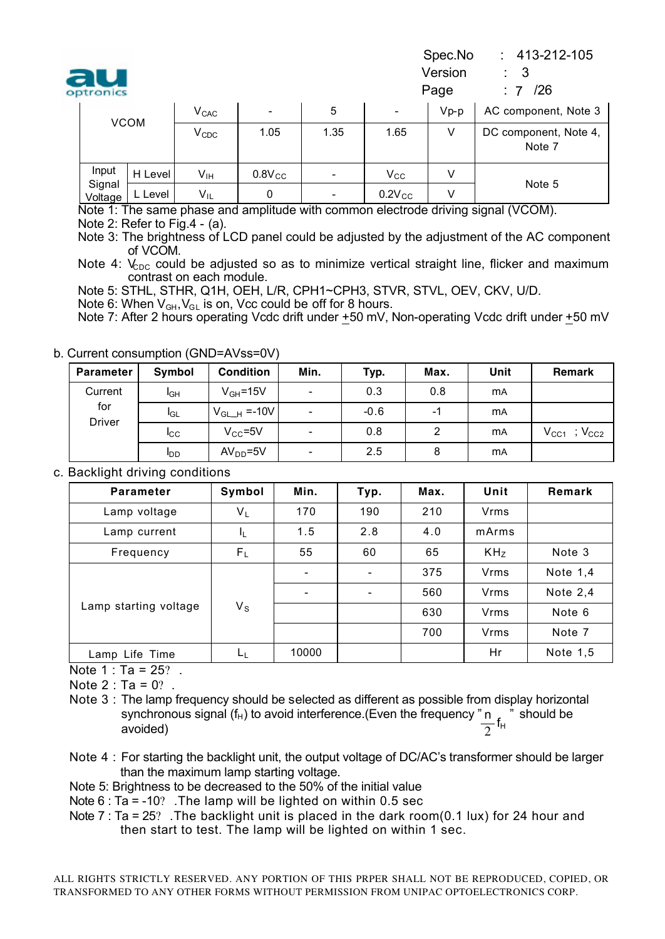| au        | Version |  |
|-----------|---------|--|
| optronics | Page    |  |

Spec.No : 413-212-105

 $.7/26$ 

|  | optronics         |         |                 |             |                          |              | Page   | /26<br>$\therefore$ 7           |
|--|-------------------|---------|-----------------|-------------|--------------------------|--------------|--------|---------------------------------|
|  | <b>VCOM</b>       |         | $\rm V_{CAC}$   | ۰.          | 5                        |              | $Vp-p$ | AC component, Note 3            |
|  |                   |         | $V_{CDC}$       | 1.05        | 1.35                     | 1.65         |        | DC component, Note 4,<br>Note 7 |
|  | Input             | H Level | $V_{\text{IH}}$ | $0.8V_{CC}$ | $\overline{\phantom{0}}$ | $V_{\rm CC}$ |        | Note 5                          |
|  | Signal<br>Voltage | L Level | $V_{IL}$        | 0           | $\overline{\phantom{0}}$ | $0.2V_{CC}$  |        |                                 |

Note 1: The same phase and amplitude with common electrode driving signal (VCOM).

Note 2: Refer to Fig.4 - (a).

Note 3: The brightness of LCD panel could be adjusted by the adjustment of the AC component of VCOM.

Note 4:  $V_{\text{enc}}$  could be adjusted so as to minimize vertical straight line, flicker and maximum contrast on each module.

Note 5: STHL, STHR, Q1H, OEH, L/R, CPH1~CPH3, STVR, STVL, OEV, CKV, U/D.

Note 6: When  $V_{GH}$ ,  $V_{GL}$  is on, Vcc could be off for 8 hours.

Note 7: After 2 hours operating Vcdc drift under +50 mV, Non-operating Vcdc drift under +50 mV

#### b. Current consumption (GND=AVss=0V)

| <b>Parameter</b>     | Symbol          | <b>Condition</b> | Min.                     | Typ.   | Max. | Unit      | <b>Remark</b>                               |
|----------------------|-----------------|------------------|--------------------------|--------|------|-----------|---------------------------------------------|
| Current              | I <sub>GH</sub> | $V_{GH} = 15V$   | $\overline{a}$           | 0.3    | 0.8  | <b>mA</b> |                                             |
| for<br><b>Driver</b> | <b>I</b> GL     | $V_{GL-H}$ =-10V | $\overline{\phantom{a}}$ | $-0.6$ | -1   | <b>mA</b> |                                             |
|                      | <b>I</b> CC     | $V_{CC} = 5V$    | $\overline{\phantom{a}}$ | 0.8    | 2    | <b>mA</b> | $\mathcal{V}_{\text{CC2}}$<br>$V_{\rm CC1}$ |
|                      | <b>I</b> DD     | $AVDD=5V$        | $\overline{\phantom{a}}$ | 2.5    | 8    | <b>mA</b> |                                             |

#### c. Backlight driving conditions

| <b>Parameter</b>      | Symbol      | Min.  | Typ. | Max. | Unit            | Remark     |
|-----------------------|-------------|-------|------|------|-----------------|------------|
| Lamp voltage          | $V_L$       | 170   | 190  | 210  | <b>Vrms</b>     |            |
| Lamp current          | ΙL          | 1.5   | 2.8  | 4.0  | mArms           |            |
| Frequency             | $F_L$       | 55    | 60   | 65   | KH <sub>Z</sub> | Note 3     |
|                       |             |       |      | 375  | <b>Vrms</b>     | Note $1,4$ |
|                       |             |       |      | 560  | <b>Vrms</b>     | Note $2,4$ |
| Lamp starting voltage | $V_{\rm S}$ |       |      | 630  | Vrms            | Note 6     |
|                       |             |       |      | 700  | <b>Vrms</b>     | Note 7     |
| Lamp Life Time        | ĿĿ          | 10000 |      |      | Hr              | Note 1,5   |

Note 1 : Ta = 25? .

Note  $2 : Ta = 0?$ .

Note 3: The lamp frequency should be selected as different as possible from display horizontal synchronous signal (f<sub>H</sub>) to avoid interference.(Even the frequency " n  $\sim$  " should be avoided)  $\frac{n}{2}$ f<sub>H</sub>

Note 4 : For starting the backlight unit, the output voltage of DC/AC's transformer should be larger than the maximum lamp starting voltage.

Note 5: Brightness to be decreased to the 50% of the initial value

Note 6 : Ta = -10? .The lamp will be lighted on within 0.5 sec

Note  $7: Ta = 25$ ? The backlight unit is placed in the dark room(0.1 lux) for 24 hour and then start to test. The lamp will be lighted on within 1 sec.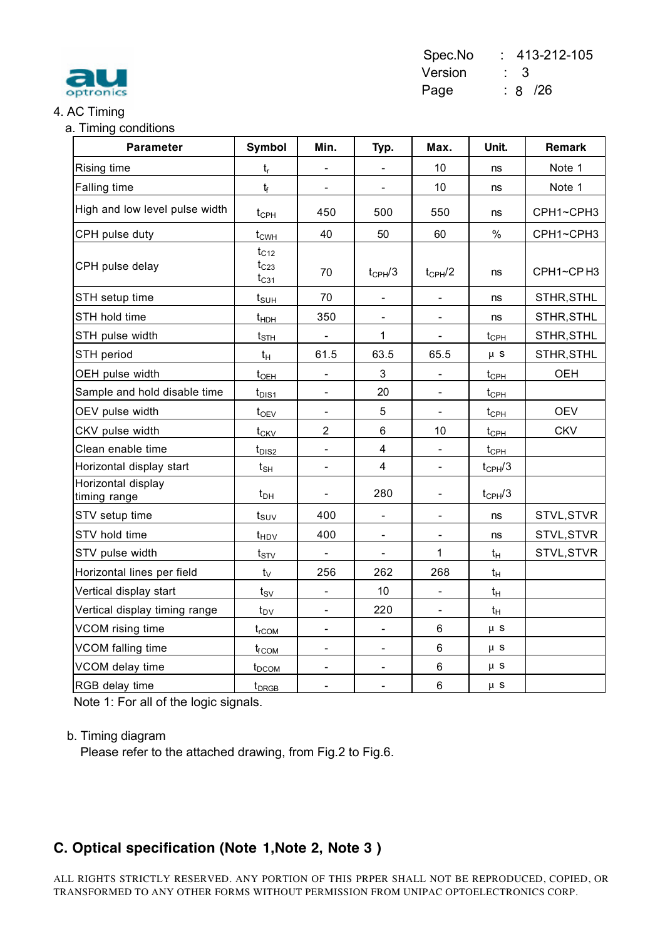

#### Spec.No : 413-212-105 Version : 3 Page : 8 /26

#### 4. AC Timing

|  | a. Timing conditions |
|--|----------------------|
|  |                      |

| <b>Parameter</b>                   | Symbol                              | Min.                     | Typ.                     | Max.                     | Unit.              | Remark     |
|------------------------------------|-------------------------------------|--------------------------|--------------------------|--------------------------|--------------------|------------|
| Rising time                        | $t_{r}$                             |                          | $\blacksquare$           | 10                       | ns                 | Note 1     |
| Falling time                       | $t_f$                               | $\overline{\phantom{a}}$ | $\overline{\phantom{a}}$ | 10                       | ns                 | Note 1     |
| High and low level pulse width     | $t_{\text{CPH}}$                    | 450                      | 500                      | 550                      | ns                 | CPH1~CPH3  |
| CPH pulse duty                     | t <sub>cwH</sub>                    | 40                       | 50                       | 60                       | $\%$               | CPH1~CPH3  |
| CPH pulse delay                    | $t_{C12}$<br>$t_{C23}$<br>$t_{C31}$ | 70                       | $t_{CPH}/3$              | $t_{CPH}/2$              | ns                 | CPH1~CPH3  |
| STH setup time                     | $t_{\text{SUH}}$                    | 70                       |                          |                          | ns                 | STHR, STHL |
| STH hold time                      | $t_{HDH}$                           | 350                      | $\blacksquare$           | $\overline{\phantom{a}}$ | ns                 | STHR, STHL |
| STH pulse width                    | $t_{\text{STH}}$                    |                          | $\mathbf{1}$             | $\overline{\phantom{a}}$ | $t_{\text{CPH}}$   | STHR, STHL |
| STH period                         | $t_H$                               | 61.5                     | 63.5                     | 65.5                     | $\mu$ S            | STHR, STHL |
| OEH pulse width                    | $t_{OEH}$                           | $\overline{\phantom{a}}$ | 3                        | $\blacksquare$           | $t_{\text{CPH}}$   | <b>OEH</b> |
| Sample and hold disable time       | $t_{DIS1}$                          | $\blacksquare$           | 20                       | $\blacksquare$           | $t_{\text{CPH}}$   |            |
| OEV pulse width                    | $t_{OEV}$                           |                          | 5                        |                          | $t_{\text{CPH}}$   | <b>OEV</b> |
| CKV pulse width                    | $t_{CKV}$                           | $\overline{2}$           | $\,6$                    | 10                       | t <sub>CPH</sub>   | <b>CKV</b> |
| Clean enable time                  | $t_{DIS2}$                          |                          | $\overline{\mathbf{4}}$  |                          | $t_{\text{CPH}}$   |            |
| Horizontal display start           | $t_{\mathsf{SH}}$                   | $\overline{\phantom{a}}$ | $\overline{4}$           | $\overline{\phantom{a}}$ | $t_{\text{CPH}}/3$ |            |
| Horizontal display<br>timing range | $t_{DH}$                            | $\overline{\phantom{a}}$ | 280                      | $\overline{\phantom{a}}$ | $t_{CPH}/3$        |            |
| STV setup time                     | $t_{\scriptstyle\textrm{SUV}}$      | 400                      | $\overline{\phantom{a}}$ | $\overline{\phantom{a}}$ | ns                 | STVL, STVR |
| STV hold time                      | t <sub>HDV</sub>                    | 400                      | $\blacksquare$           | $\overline{\phantom{a}}$ | ns                 | STVL, STVR |
| STV pulse width                    | $t_{STV}$                           | $\overline{\phantom{a}}$ |                          | 1                        | $t_H$              | STVL, STVR |
| Horizontal lines per field         | $t_V$                               | 256                      | 262                      | 268                      | $t_H$              |            |
| Vertical display start             | $t_{\scriptstyle\textrm{SV}}$       |                          | 10                       |                          | $t_H$              |            |
| Vertical display timing range      | $t_{D\underline{V}}$                |                          | 220                      |                          | $t_H$              |            |
| VCOM rising time                   | $t_{rCOM}$                          | $\overline{\phantom{a}}$ | $\blacksquare$           | 6                        | $\mu$ s            |            |
| VCOM falling time                  | t <sub>f</sub> com                  | $\overline{\phantom{a}}$ | $\overline{\phantom{a}}$ | 6                        | $\mu$ s            |            |
| VCOM delay time                    | t <sub>DCOM</sub>                   | $\overline{\phantom{a}}$ | $\overline{\phantom{a}}$ | 6                        | $\mu$ s            |            |
| RGB delay time                     | t <sub>DRGB</sub>                   | $\blacksquare$           | $\overline{\phantom{a}}$ | $\,6$                    | $\mu$ s            |            |

Note 1: For all of the logic signals.

#### b. Timing diagram

Please refer to the attached drawing, from Fig.2 to Fig.6.

### **C. Optical specification (Note 1,Note 2, Note 3 )**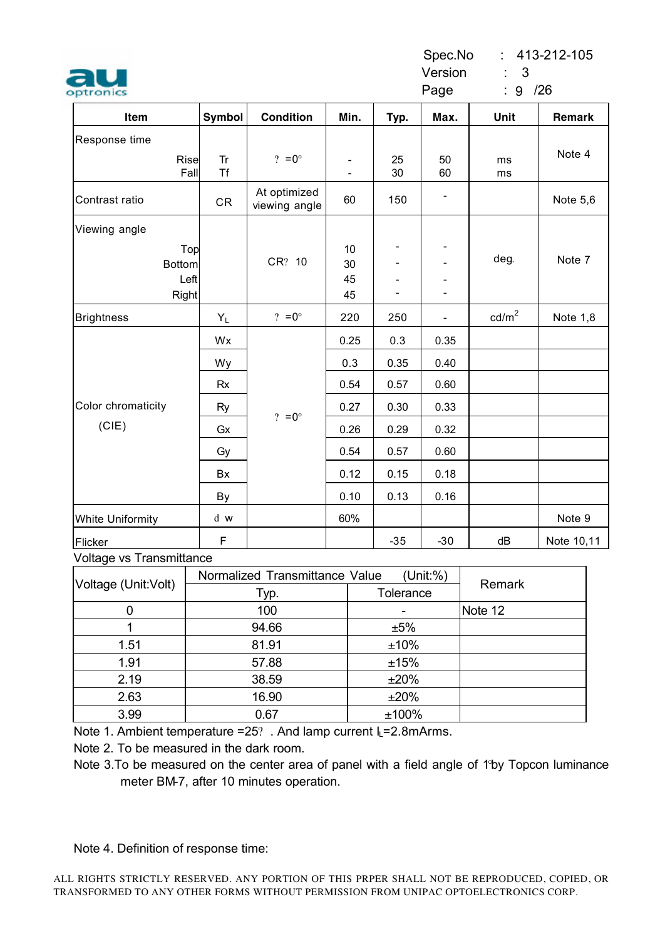#### Spec.No : 413-212-105

Version : 3

Page : 9 /26

| Item                                  | Symbol                 | <b>Condition</b>              | Min.                         | Typ.                         | Max.           | Unit              | Remark     |
|---------------------------------------|------------------------|-------------------------------|------------------------------|------------------------------|----------------|-------------------|------------|
| Response time                         |                        |                               |                              |                              |                |                   |            |
| Rise<br>Fall                          | <b>Tr</b><br><b>Tf</b> | ? = $0^{\circ}$               | $\qquad \qquad \blacksquare$ | 25<br>30                     | 50<br>60       | ms<br>ms          | Note 4     |
| Contrast ratio                        | CR                     | At optimized<br>viewing angle | 60                           | 150                          |                |                   | Note 5,6   |
| Viewing angle                         |                        |                               |                              |                              |                |                   |            |
| Top<br><b>Bottom</b><br>Left<br>Right |                        | CR? 10                        | 10<br>30<br>45<br>45         | $\qquad \qquad \blacksquare$ |                | deg.              | Note 7     |
| <b>Brightness</b>                     | $Y_L$                  | ? = $0^{\circ}$               | 220                          | 250                          | $\overline{a}$ | cd/m <sup>2</sup> | Note 1,8   |
|                                       | Wx                     |                               | 0.25                         | 0.3                          | 0.35           |                   |            |
|                                       | Wy                     |                               | 0.3                          | 0.35                         | 0.40           |                   |            |
|                                       | <b>Rx</b>              |                               | 0.54                         | 0.57                         | 0.60           |                   |            |
| Color chromaticity                    | Ry                     |                               | 0.27                         | 0.30                         | 0.33           |                   |            |
| (CIE)                                 | Gx                     | ? = $0^{\circ}$               | 0.26                         | 0.29                         | 0.32           |                   |            |
|                                       | Gy                     |                               | 0.54                         | 0.57                         | 0.60           |                   |            |
|                                       | Bx                     |                               | 0.12                         | 0.15                         | 0.18           |                   |            |
|                                       | By                     |                               | 0.10                         | 0.13                         | 0.16           |                   |            |
| <b>White Uniformity</b>               | d w                    |                               | 60%                          |                              |                |                   | Note 9     |
| Flicker<br>Voltogo ve Tranomittanoo   | F                      |                               |                              | $-35$                        | $-30$          | dB                | Note 10,11 |

#### Voltage vs Transmittance

| Voltage (Unit: Volt) | Normalized Transmittance Value | Remark    |         |
|----------------------|--------------------------------|-----------|---------|
|                      | Typ.                           | Tolerance |         |
|                      | 100                            |           | Note 12 |
|                      | 94.66                          | ±5%       |         |
| 1.51                 | 81.91                          | ±10%      |         |
| 1.91                 | 57.88                          | ±15%      |         |
| 2.19                 | 38.59                          | ±20%      |         |
| 2.63                 | 16.90                          | ±20%      |         |
| 3.99                 | 0.67                           | ±100%     |         |

Note 1. Ambient temperature =25? . And lamp current I<sub>L</sub>=2.8mArms.

Note 2. To be measured in the dark room.

Note 4. Definition of response time:

Note 3.To be measured on the center area of panel with a field angle of 1°by Topcon luminance meter BM-7, after 10 minutes operation.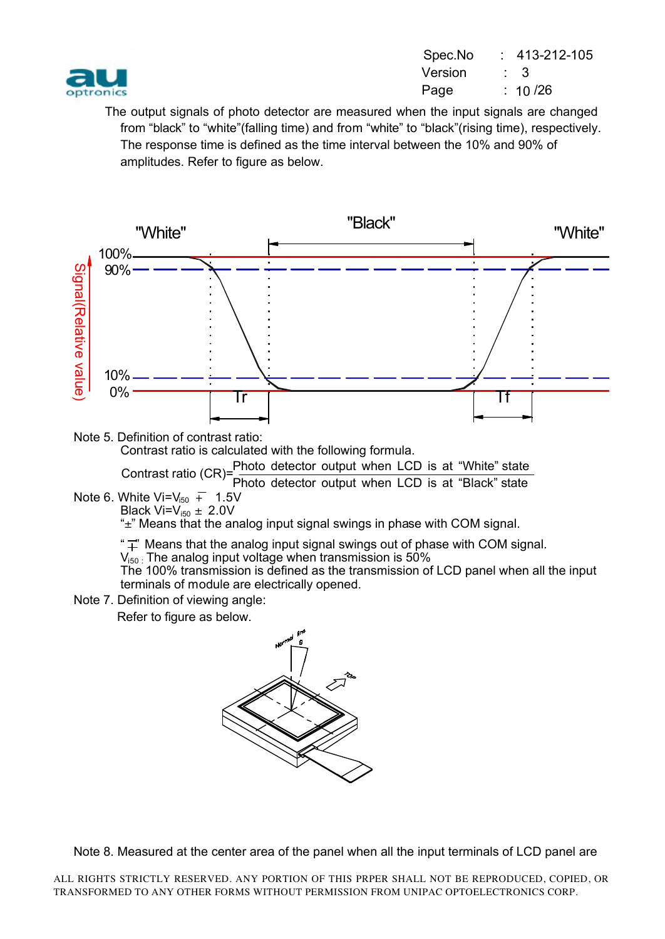

| Spec.No | $: 413 - 212 - 105$ |
|---------|---------------------|
| Version |                     |
| Page    | : 10/26             |
|         |                     |

 The output signals of photo detector are measured when the input signals are changed from "black" to "white"(falling time) and from "white" to "black"(rising time), respectively. The response time is defined as the time interval between the 10% and 90% of amplitudes. Refer to figure as below.



Note 5. Definition of contrast ratio: Contrast ratio is calculated with the following formula. Contrast ratio  $(CR)$ = $\frac{Photo \text{ detector output when LCD is at "White" state}}{P(1)}$ 

Photo detector output when LCD is at "Black" state

Note 6. White Vi= $V_{150}$  + 1.5V Black Vi= $V_{i50} \pm 2.0V$ 

"±" Means that the analog input signal swings in phase with COM signal.

" $\vec{\perp}$ " Means that the analog input signal swings out of phase with COM signal.

 $\mathsf{V}_{\mathsf{iso}}$  The analog input voltage when transmission is 50%

The 100% transmission is defined as the transmission of LCD panel when all the input terminals of module are electrically opened.

Note 7. Definition of viewing angle: Refer to figure as below.



Note 8. Measured at the center area of the panel when all the input terminals of LCD panel are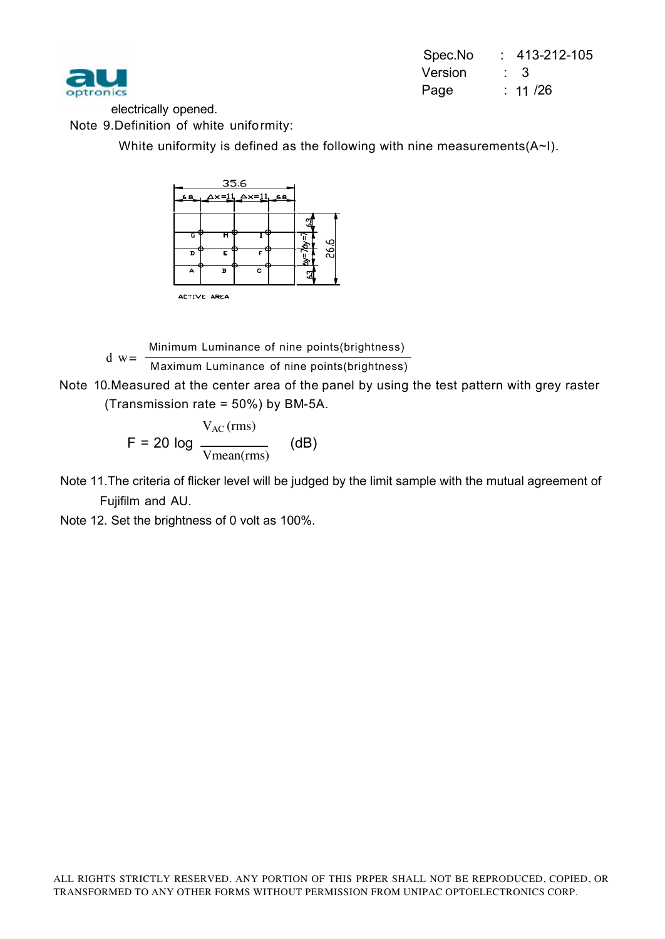

|         | Spec.No : 413-212-105 |
|---------|-----------------------|
| Version |                       |
| Page    | $\therefore$ 11 /26   |
|         |                       |

electrically opened.

Note 9.Definition of white uniformity:

White uniformity is defined as the following with nine measurements(A~I).



Minimum Luminance of nine points(brightness)

 Maximum Luminance of nine points(brightness)  $d w =$ 

 Note 10.Measured at the center area of the panel by using the test pattern with grey raster (Transmission rate = 50%) by BM-5A.

$$
F = 20 \log \frac{V_{AC} \text{(rms)}}{V_{mean} \text{(rms)}} \quad \text{(dB)}
$$

Note 11.The criteria of flicker level will be judged by the limit sample with the mutual agreement of Fujifilm and AU.

Note 12. Set the brightness of 0 volt as 100%.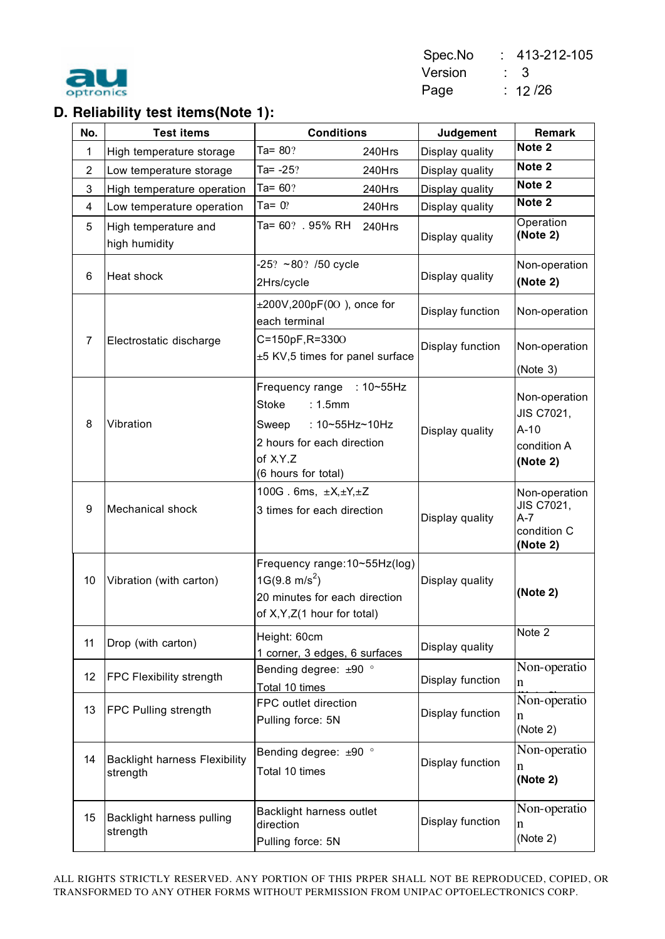

## **D. Reliability test items(Note 1):**

| No.            | <b>Test items</b>                                | <b>Conditions</b>                                                                                                                         | Judgement        | <b>Remark</b>                                                    |
|----------------|--------------------------------------------------|-------------------------------------------------------------------------------------------------------------------------------------------|------------------|------------------------------------------------------------------|
| 1              | High temperature storage                         | Ta= $80$ ?<br>240Hrs                                                                                                                      | Display quality  | Note <sub>2</sub>                                                |
| $\overline{2}$ | Low temperature storage                          | Ta= $-25?$<br>240Hrs                                                                                                                      | Display quality  | Note 2                                                           |
| 3              | High temperature operation                       | Ta= $60?$<br>240Hrs                                                                                                                       | Display quality  | Note 2                                                           |
| 4              | Low temperature operation                        | Ta= $0$ ?<br>240Hrs                                                                                                                       | Display quality  | Note 2                                                           |
| 5              | High temperature and<br>high humidity            | Ta= 60? . 95% RH<br>240Hrs                                                                                                                | Display quality  | Operation<br>(Note 2)                                            |
| 6              | Heat shock                                       | $-25$ ? ~80? /50 cycle<br>2Hrs/cycle                                                                                                      | Display quality  | Non-operation<br>(Note 2)                                        |
|                |                                                  | $\pm 200V$ , 200pF(00), once for<br>each terminal                                                                                         | Display function | Non-operation                                                    |
| $\overline{7}$ | Electrostatic discharge                          | C=150pF,R=3300<br>±5 KV,5 times for panel surface                                                                                         | Display function | Non-operation<br>(Note 3)                                        |
| 8              | Vibration                                        | Frequency range : 10~55Hz<br>: 1.5mm<br>Stoke<br>: 10~55Hz~10Hz<br>Sweep<br>2 hours for each direction<br>of X.Y.Z<br>(6 hours for total) | Display quality  | Non-operation<br>JIS C7021,<br>$A-10$<br>condition A<br>(Note 2) |
| 9              | Mechanical shock                                 | 100G. 6ms, $\pm X, \pm Y, \pm Z$<br>3 times for each direction                                                                            | Display quality  | Non-operation<br>JIS C7021,<br>$A-7$<br>condition C<br>(Note 2)  |
| 10             | Vibration (with carton)                          | Frequency range: 10~55Hz(log)<br>$1G(9.8 \text{ m/s}^2)$<br>20 minutes for each direction<br>of X, Y, Z(1 hour for total)                 | Display quality  | (Note 2)                                                         |
| 11             | Drop (with carton)                               | Height: 60cm<br>1 corner, 3 edges, 6 surfaces                                                                                             | Display quality  | Note 2                                                           |
| 12             | FPC Flexibility strength                         | Bending degree: ±90 °<br>Total 10 times                                                                                                   | Display function | Non-operatio<br>$\mathbf n$                                      |
| 13             | FPC Pulling strength                             | FPC outlet direction<br>Pulling force: 5N                                                                                                 | Display function | Non-operatio<br>n<br>(Note 2)                                    |
| 14             | <b>Backlight harness Flexibility</b><br>strength | Bending degree: ±90 °<br>Total 10 times                                                                                                   | Display function | Non-operatio<br>n<br>(Note 2)                                    |
| 15             | Backlight harness pulling<br>strength            | Backlight harness outlet<br>direction<br>Pulling force: 5N                                                                                | Display function | Non-operatio<br>n<br>(Note 2)                                    |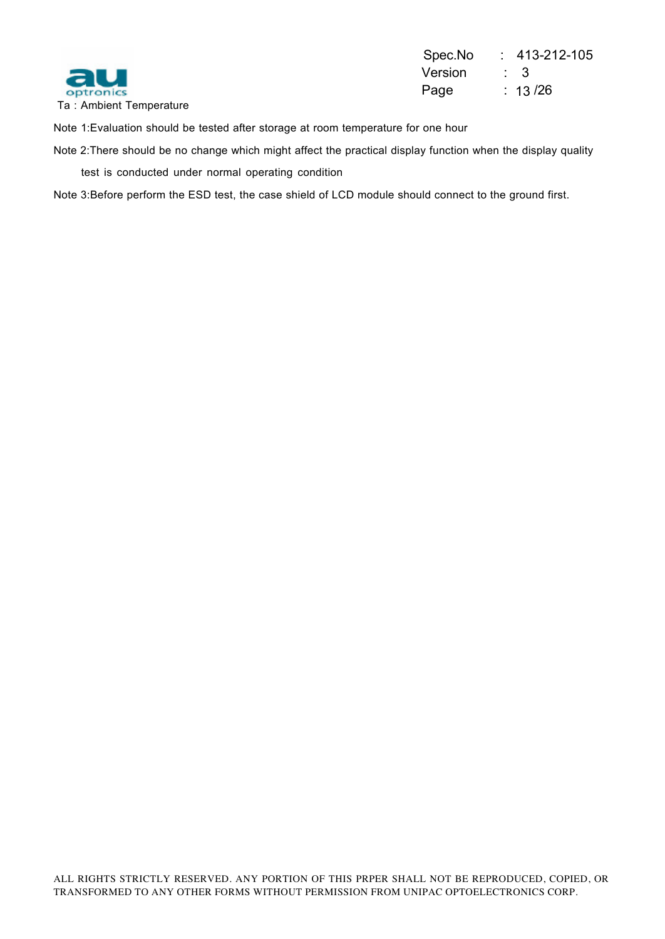

Spec.No : 413-212-105 Version : 3  $: 13/26$ 

Note 1:Evaluation should be tested after storage at room temperature for one hour

Note 2:There should be no change which might affect the practical display function when the display quality test is conducted under normal operating condition

Note 3:Before perform the ESD test, the case shield of LCD module should connect to the ground first.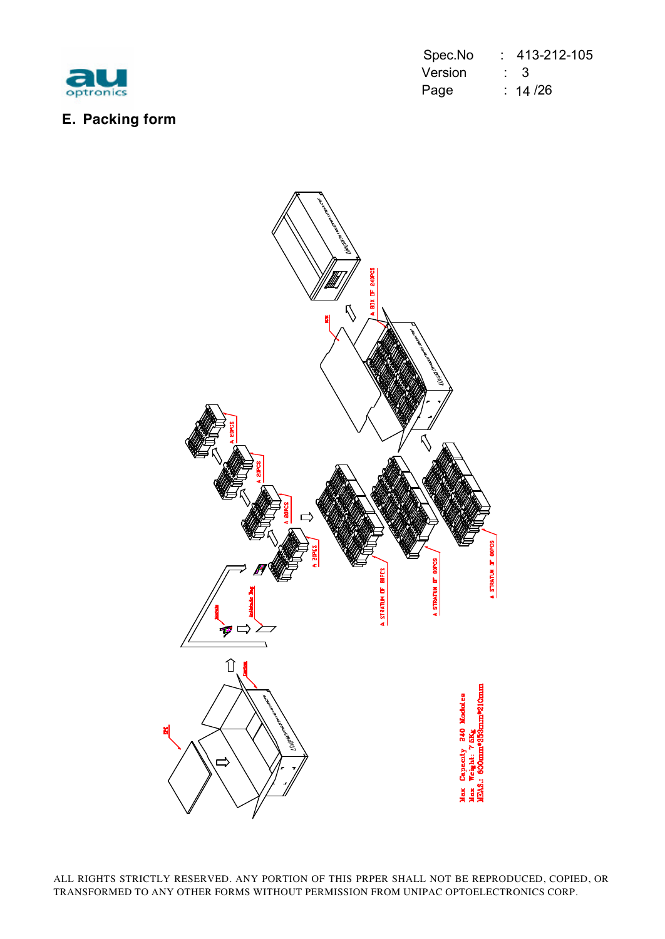

|           |         | Spec.No : 413-212-105 |
|-----------|---------|-----------------------|
| au        | Version | $\sim$ 3              |
| optronics | Page    | $\therefore$ 14 /26   |

## **E. Packing form**

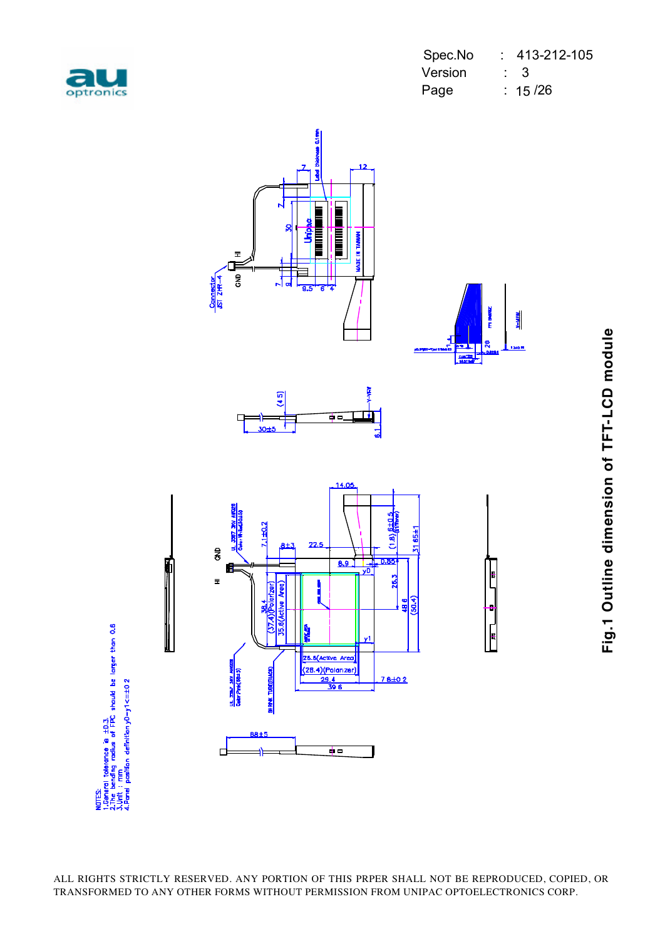

|           | Spec.No |                | $\therefore$ 413-212-105 |
|-----------|---------|----------------|--------------------------|
| au        | Version | $\therefore$ 3 |                          |
| optronics | Page    |                | $\therefore$ 15 /26      |



Fig.1 Outline dimension of TFT-LCD module **Fig.1 Outline dimension of TFT-LCD module**

NOTES<br>1.General tolerance is ±D.J.<br>2.The bending rodius of FPC should be larger than 0.6<br>4.Porti : mattion definition,VD-y1<=±0*2*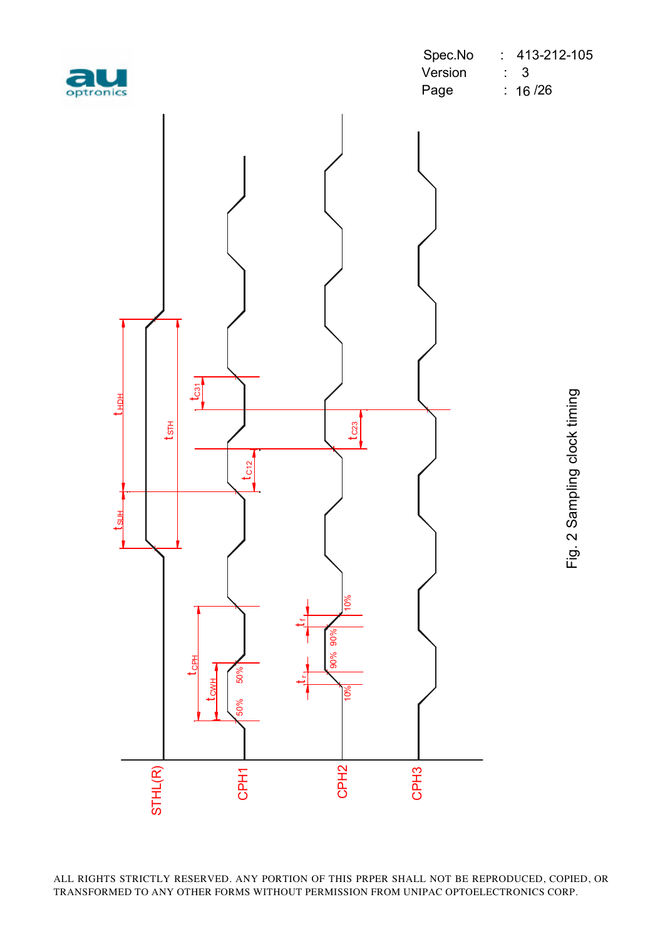| optroni |  |  |  |
|---------|--|--|--|

|           |         | Spec.No : 413-212-105 |
|-----------|---------|-----------------------|
| au        | Version |                       |
| optronics | Page    | : 16/26               |



Fig. 2 Sampling clock timing Fig. 2 Sampling clock timing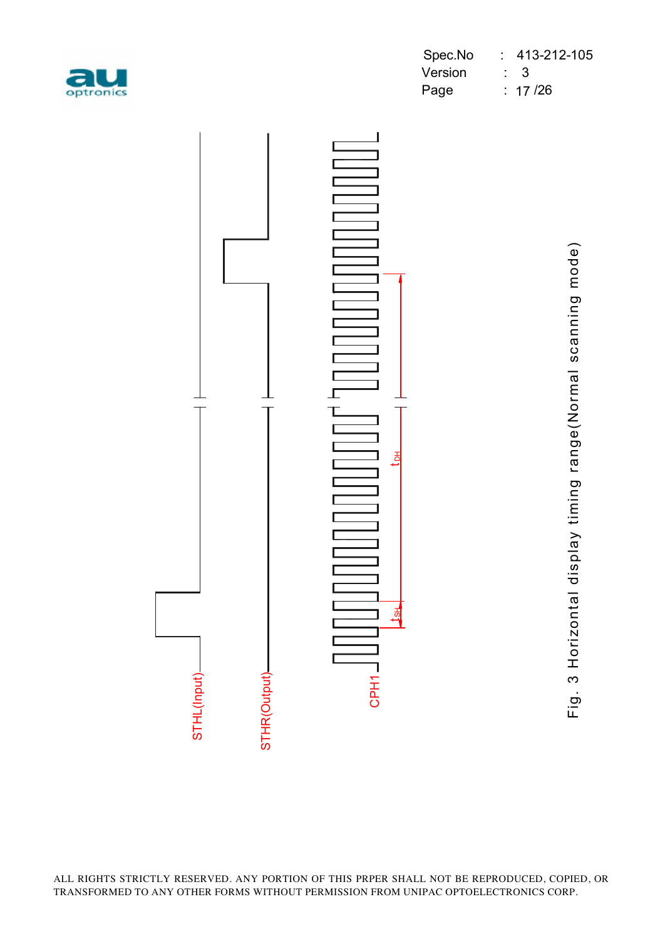

|           |             | Spec.No : 413-212-105 |
|-----------|-------------|-----------------------|
| au        | Version : 3 |                       |
| optronics | Page        | : 17/26               |

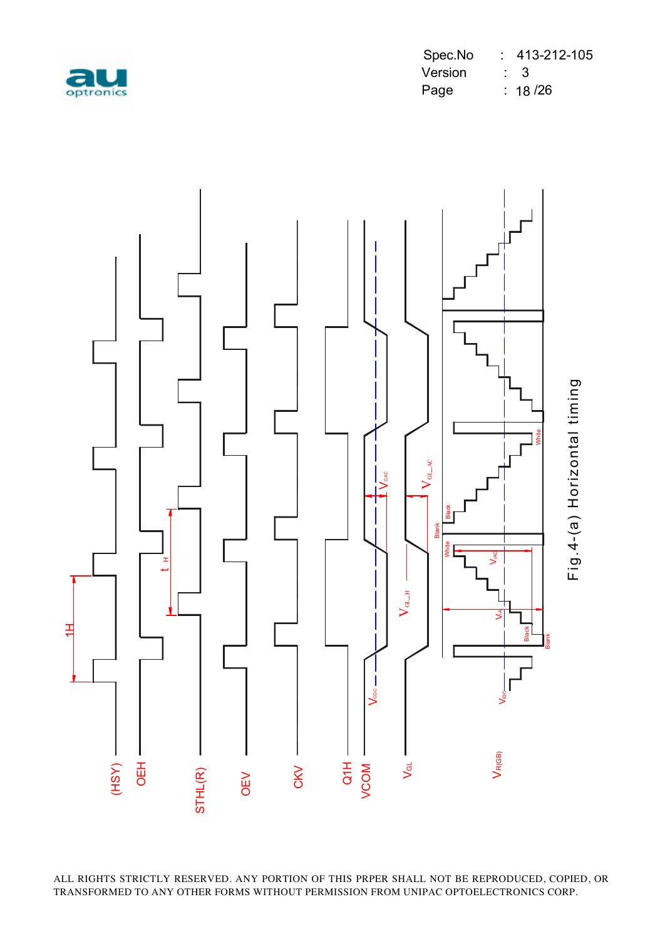

|           |         | Spec.No : 413-212-105 |
|-----------|---------|-----------------------|
| au        | Version | $\sim$ 3              |
| optronics | Page    | $\therefore$ 18 /26   |

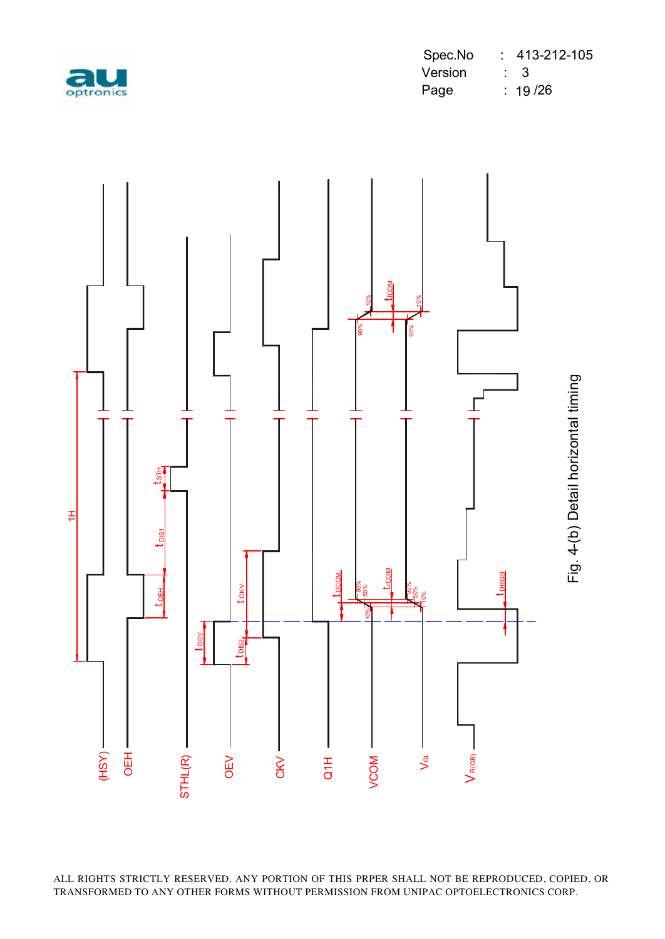

|           | Spec.No | $: 413-212-105$ |
|-----------|---------|-----------------|
| au        | Version | $\therefore$ 3  |
| optronics | Page    | : 19/26         |



Fig. 4-(b) Detail horizontal timing Fig. 4-(b) Detail horizontal timing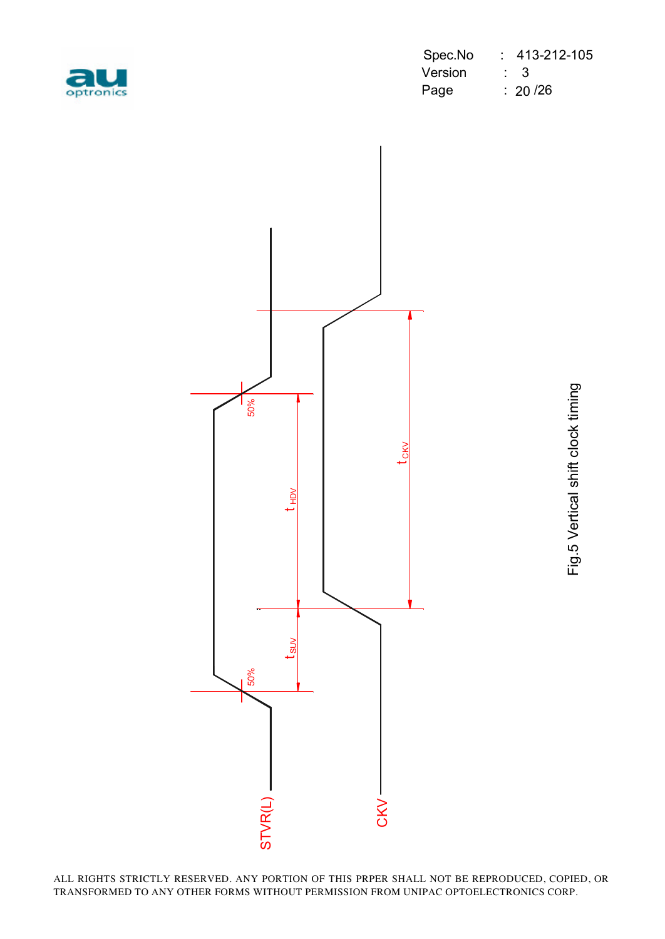

|           |             | Spec.No : 413-212-105 |
|-----------|-------------|-----------------------|
| au        | Version : 3 |                       |
| optronics | Page        | $\therefore$ 20 /26   |

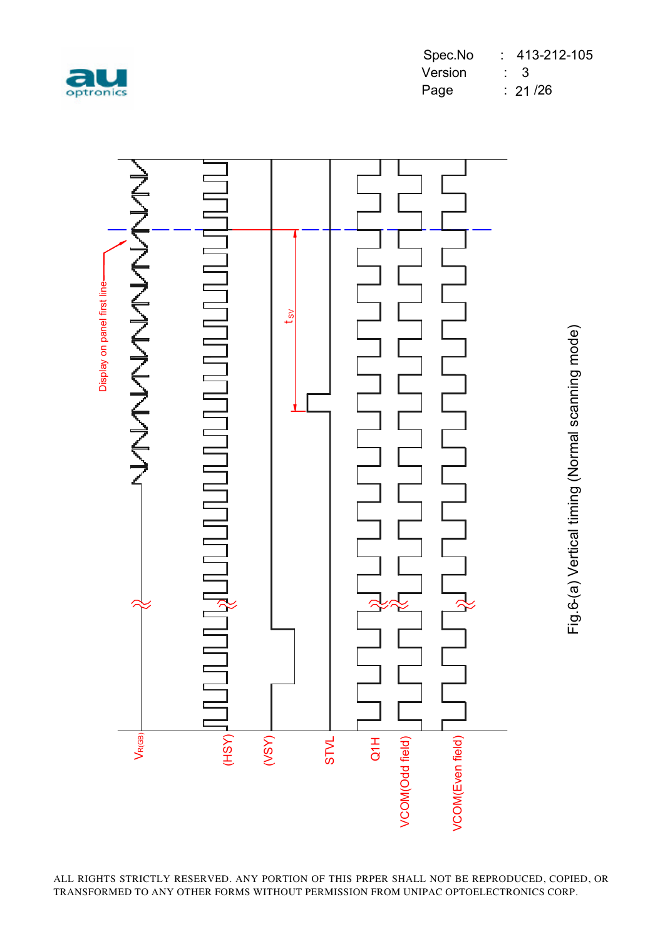

Fig.6-(a) Vertical timing (Normal scanning mode)

Fig.6-(a) Vertical timing (Normal scanning mode)

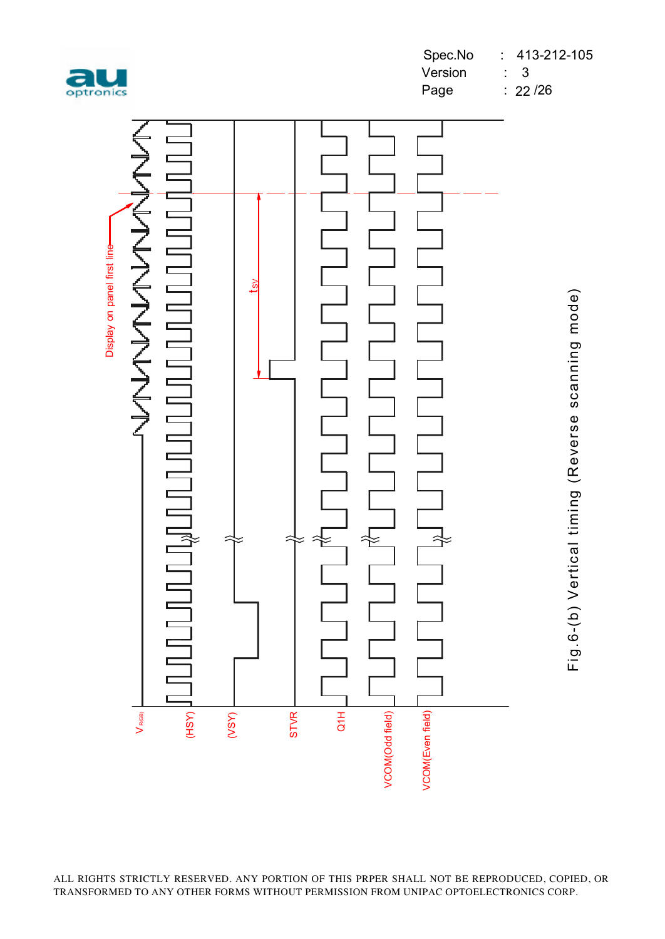



Fig.6-(b) Vertical timing (Reverse scanning mode) Fig.6-(b) Vertical timing (Reverse scanning mode)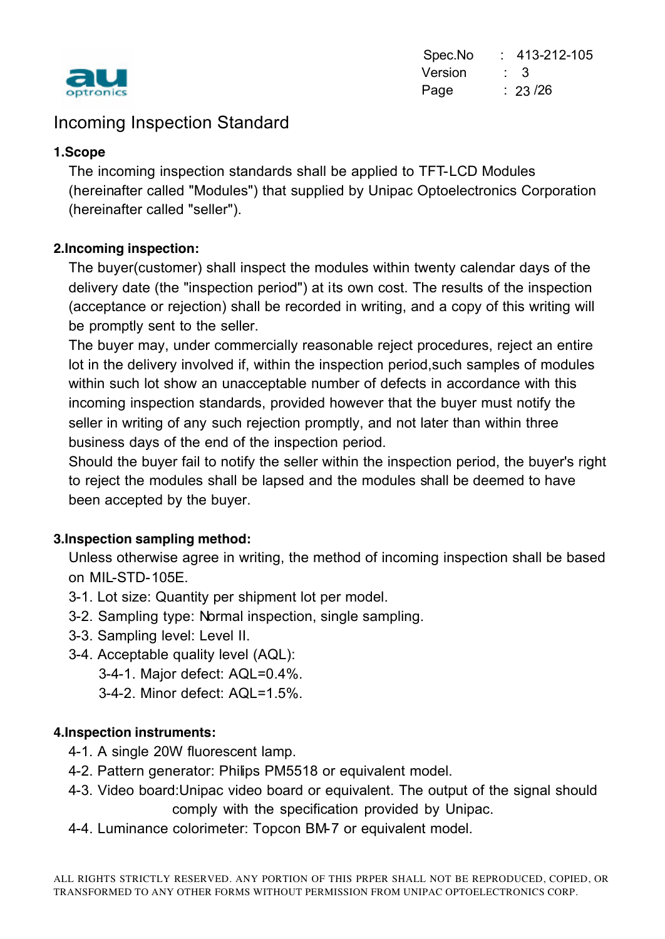

Spec.No : 413-212-105 Version : 3 Page : 23/26

## Incoming Inspection Standard

#### **1.Scope**

The incoming inspection standards shall be applied to TFT-LCD Modules (hereinafter called "Modules") that supplied by Unipac Optoelectronics Corporation (hereinafter called "seller").

#### **2.Incoming inspection:**

The buyer(customer) shall inspect the modules within twenty calendar days of the delivery date (the "inspection period") at its own cost. The results of the inspection (acceptance or rejection) shall be recorded in writing, and a copy of this writing will be promptly sent to the seller.

The buyer may, under commercially reasonable reject procedures, reject an entire lot in the delivery involved if, within the inspection period,such samples of modules within such lot show an unacceptable number of defects in accordance with this incoming inspection standards, provided however that the buyer must notify the seller in writing of any such rejection promptly, and not later than within three business days of the end of the inspection period.

Should the buyer fail to notify the seller within the inspection period, the buyer's right to reject the modules shall be lapsed and the modules shall be deemed to have been accepted by the buyer.

#### **3.Inspection sampling method:**

Unless otherwise agree in writing, the method of incoming inspection shall be based on MIL-STD-105E.

- 3-1. Lot size: Quantity per shipment lot per model.
- 3-2. Sampling type: Normal inspection, single sampling.
- 3-3. Sampling level: Level II.
- 3-4. Acceptable quality level (AQL):
	- 3-4-1. Major defect: AQL=0.4%.
	- 3-4-2. Minor defect: AQL=1.5%.

#### **4.Inspection instruments:**

- 4-1. A single 20W fluorescent lamp.
- 4-2. Pattern generator: Philips PM5518 or equivalent model.
- 4-3. Video board:Unipac video board or equivalent. The output of the signal should comply with the specification provided by Unipac.
- 4-4. Luminance colorimeter: Topcon BM-7 or equivalent model.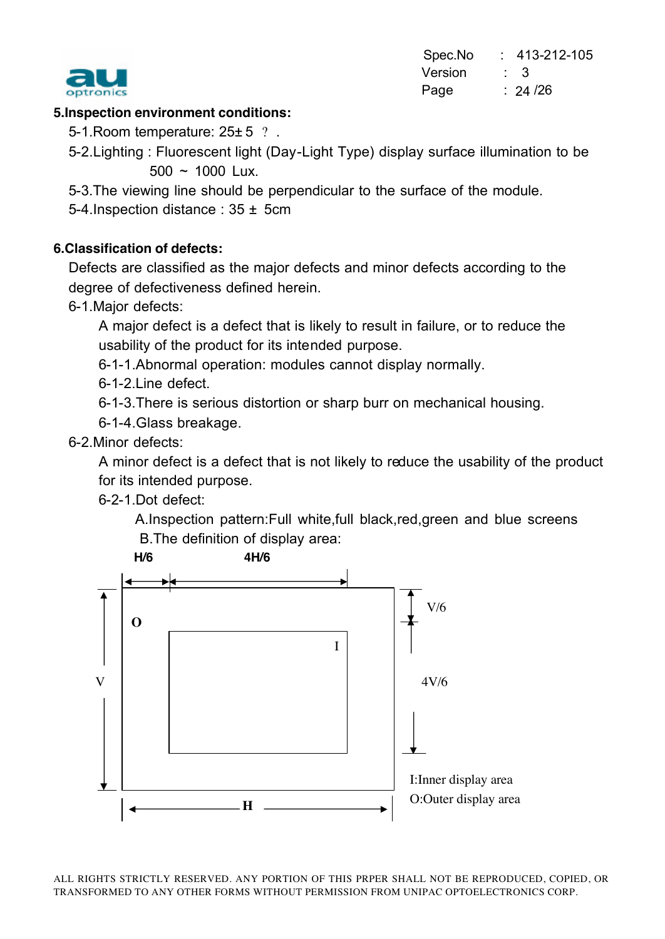

Spec.No : 413-212-105 **Version : 3** Page : 24/26  $: 24/26$ 

#### **5.Inspection environment conditions:**

5-1. Room temperature: 25 ± 5 ? .

- 5-2.Lighting : Fluorescent light (Day-Light Type) display surface illumination to be  $500 \sim 1000$  Lux.
- 5-3.The viewing line should be perpendicular to the surface of the module.

5-4.Inspection distance : 35 ± 5cm

#### **6.Classification of defects:**

Defects are classified as the major defects and minor defects according to the degree of defectiveness defined herein.

6-1.Major defects:

A major defect is a defect that is likely to result in failure, or to reduce the usability of the product for its intended purpose.

6-1-1.Abnormal operation: modules cannot display normally.

6-1-2.Line defect.

6-1-3.There is serious distortion or sharp burr on mechanical housing.

6-1-4.Glass breakage.

6-2.Minor defects:

A minor defect is a defect that is not likely to reduce the usability of the product for its intended purpose.

6-2-1.Dot defect:

 A.Inspection pattern:Full white,full black,red,green and blue screens B.The definition of display area:

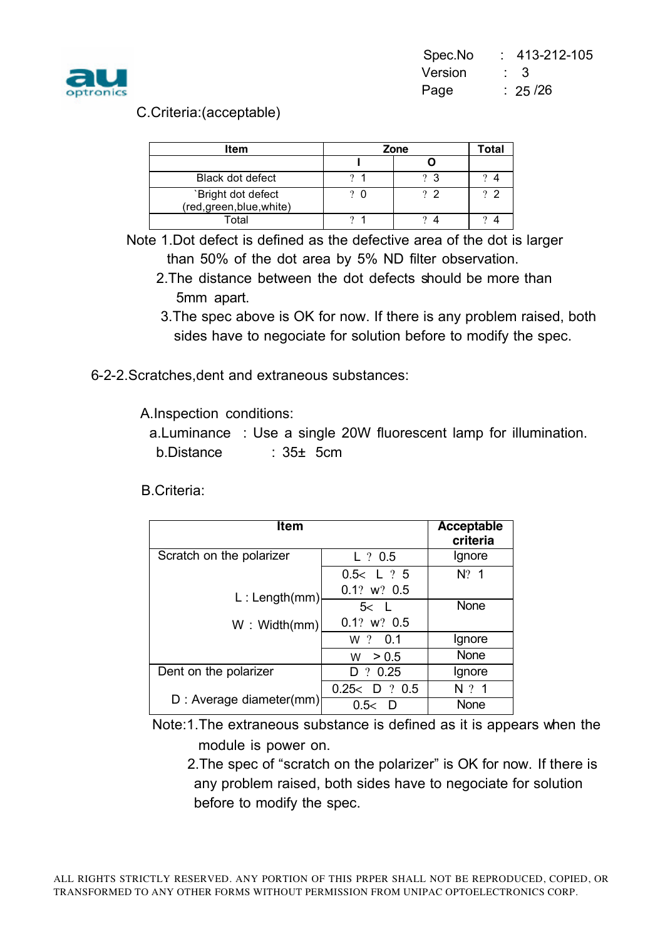

#### C.Criteria:(acceptable)

| <b>Item</b>                                     | Zone |                | Total       |
|-------------------------------------------------|------|----------------|-------------|
|                                                 |      |                |             |
| <b>Black dot defect</b>                         |      | $\Omega$<br>ຸຈ |             |
| `Bright dot defect<br>(red, green, blue, white) |      | ? ?            | $2^{\circ}$ |
| Total                                           |      |                |             |

Note 1.Dot defect is defined as the defective area of the dot is larger than 50% of the dot area by 5% ND filter observation.

- 2.The distance between the dot defects should be more than 5mm apart.
- 3.The spec above is OK for now. If there is any problem raised, both sides have to negociate for solution before to modify the spec.
- 6-2-2.Scratches,dent and extraneous substances:

A.Inspection conditions:

 a.Luminance : Use a single 20W fluorescent lamp for illumination. b.Distance : 35± 5cm

B.Criteria:

| Item                     |                 | Acceptable<br>criteria |
|--------------------------|-----------------|------------------------|
| Scratch on the polarizer | $L$ ? 0.5       | Ignore                 |
|                          | 0.5 < L ? 5     | $N$ ? 1                |
| L: Length(mm)            | $0.1?$ w? $0.5$ |                        |
|                          | 5< L            | None                   |
| W: Width(mm)             | $0.1?$ w? $0.5$ |                        |
|                          | W ? 0.1         | Ignore                 |
|                          | > 0.5<br>W      | None                   |
| Dent on the polarizer    | ?0.25<br>D      | Ignore                 |
|                          | 0.25 < D ? 0.5  | $N$ ? 1                |
| D : Average diameter(mm) | 0.5<<br>D       | None                   |

Note:1.The extraneous substance is defined as it is appears when the module is power on.

2.The spec of "scratch on the polarizer" is OK for now. If there is any problem raised, both sides have to negociate for solution before to modify the spec.